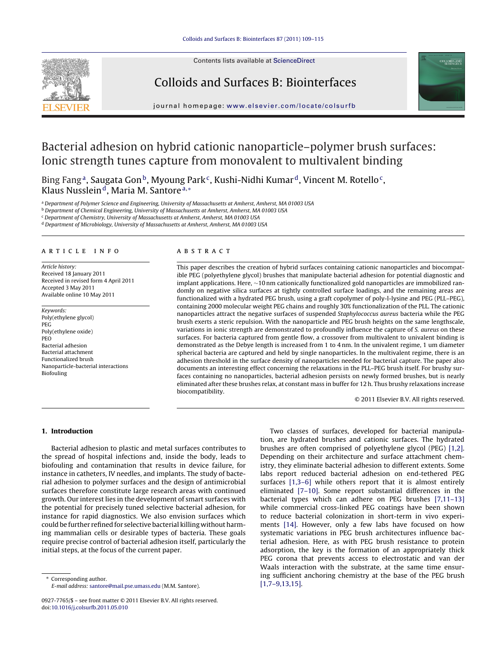

Contents lists available at [ScienceDirect](http://www.sciencedirect.com/science/journal/09277765)

## Colloids and Surfaces B: Biointerfaces



jour nal homepage: [www.elsevier.com/locate/colsurfb](http://www.elsevier.com/locate/colsurfb)

# Bacterial adhesion on hybrid cationic nanoparticle–polymer brush surfaces: Ionic strength tunes capture from monovalent to multivalent binding

Bing Fang<sup>a</sup>, Saugata Gon<sup>b</sup>, Myoung Park<sup>c</sup>, Kushi-Nidhi Kumar<sup>d</sup>, Vincent M. Rotello<sup>c</sup>, Klaus Nusslein<sup>d</sup>, Maria M. Santore<sup>a,\*</sup>

<sup>a</sup> Department of Polymer Science and Engineering, University of Massachusetts at Amherst, Amherst, MA 01003 USA

**b** Department of Chemical Engineering, University of Massachusetts at Amherst, Amherst, MA 01003 USA

<sup>c</sup> Department of Chemistry, University of Massachusetts at Amherst, Amherst, MA 01003 USA

<sup>d</sup> Department of Microbiology, University of Massachusetts at Amherst, Amherst, MA 01003 USA

## a r t i c l e i n f o

Article history: Received 18 January 2011 Received in revised form 4 April 2011 Accepted 3 May 2011 Available online 10 May 2011

Keywords: Poly(ethylene glycol) PEG Poly(ethylene oxide) PEO Bacterial adhesion Bacterial attachment Functionalized brush Nanoparticle-bacterial interactions Biofouling

## a b s t r a c t

This paper describes the creation of hybrid surfaces containing cationic nanoparticles and biocompatible PEG (polyethylene glycol) brushes that manipulate bacterial adhesion for potential diagnostic and implant applications. Here, ∼10 nm cationically functionalized gold nanoparticles are immobilized randomly on negative silica surfaces at tightly controlled surface loadings, and the remaining areas are functionalized with a hydrated PEG brush, using a graft copolymer of poly-l-lysine and PEG (PLL–PEG), containing 2000 molecular weight PEG chains and roughly 30% functionalization of the PLL. The cationic nanoparticles attract the negative surfaces of suspended Staphylococcus aureus bacteria while the PEG brush exerts a steric repulsion. With the nanoparticle and PEG brush heights on the same lengthscale, variations in ionic strength are demonstrated to profoundly influence the capture of S. aureus on these surfaces. For bacteria captured from gentle flow, a crossover from multivalent to univalent binding is demonstrated as the Debye length is increased from 1 to 4 nm. In the univalent regime, 1 um diameter spherical bacteria are captured and held by single nanoparticles. In the multivalent regime, there is an adhesion threshold in the surface density of nanoparticles needed for bacterial capture. The paper also documents an interesting effect concerning the relaxations in the PLL–PEG brush itself. For brushy surfaces containing no nanoparticles, bacterial adhesion persists on newly formed brushes, but is nearly eliminated after these brushes relax, at constant mass in buffer for 12 h. Thus brushy relaxations increase biocompatibility.

© 2011 Elsevier B.V. All rights reserved.

## **1. Introduction**

Bacterial adhesion to plastic and metal surfaces contributes to the spread of hospital infections and, inside the body, leads to biofouling and contamination that results in device failure, for instance in catheters, IV needles, and implants. The study of bacterial adhesion to polymer surfaces and the design of antimicrobial surfaces therefore constitute large research areas with continued growth. Our interest lies in the development of smart surfaces with the potential for precisely tuned selective bacterial adhesion, for instance for rapid diagnostics. We also envision surfaces which could be further refined for selective bacterial killing without harming mammalian cells or desirable types of bacteria. These goals require precise control of bacterial adhesion itself, particularly the initial steps, at the focus of the current paper.

Corresponding author. E-mail address: [santore@mail.pse.umass.edu](mailto:santore@mail.pse.umass.edu) (M.M. Santore).

Two classes of surfaces, developed for bacterial manipulation, are hydrated brushes and cationic surfaces. The hydrated brushes are often comprised of polyethylene glycol (PEG) [\[1,2\].](#page-6-0) Depending on their architecture and surface attachment chemistry, they eliminate bacterial adhesion to different extents. Some labs report reduced bacterial adhesion on end-tethered PEG surfaces [\[1,3–6\]](#page-6-0) while others report that it is almost entirely eliminated [\[7–10\].](#page-6-0) Some report substantial differences in the bacterial types which can adhere on PEG brushes [\[7,11–13\]](#page-6-0) while commercial cross-linked PEG coatings have been shown to reduce bacterial colonization in short-term in vivo experiments [\[14\].](#page-6-0) However, only a few labs have focused on how systematic variations in PEG brush architectures influence bacterial adhesion. Here, as with PEG brush resistance to protein adsorption, the key is the formation of an appropriately thick PEG corona that prevents access to electrostatic and van der Waals interaction with the substrate, at the same time ensuring sufficient anchoring chemistry at the base of the PEG brush [\[1,7–9,13,15\].](#page-6-0)

<sup>0927-7765/\$</sup> – see front matter © 2011 Elsevier B.V. All rights reserved. doi:[10.1016/j.colsurfb.2011.05.010](dx.doi.org/10.1016/j.colsurfb.2011.05.010)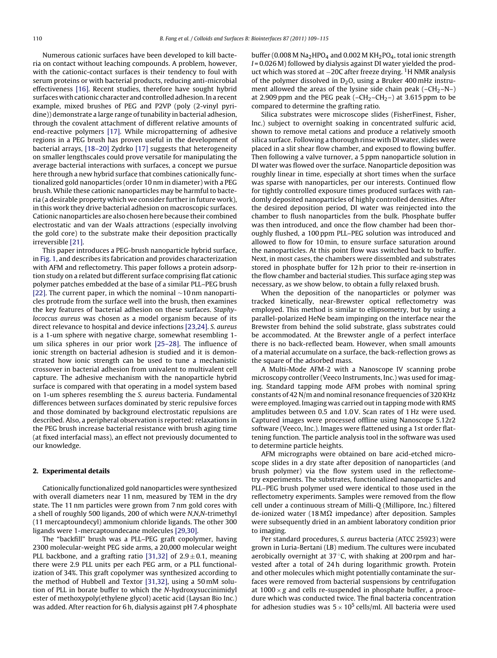Numerous cationic surfaces have been developed to kill bacteria on contact without leaching compounds. A problem, however, with the cationic-contact surfaces is their tendency to foul with serum proteins or with bacterial products, reducing anti-microbial effectiveness [\[16\].](#page-6-0) Recent studies, therefore have sought hybrid surfaces with cationic character and controlled adhesion. In a recent example, mixed brushes of PEG and P2VP (poly (2-vinyl pyridine)) demonstrate a large range of tunability in bacterial adhesion, through the covalent attachment of different relative amounts of end-reactive polymers [\[17\].](#page-6-0) While micropatterning of adhesive regions in a PEG brush has proven useful in the development of bacterial arrays, [\[18–20\]](#page-6-0) Zydrko [\[17\]](#page-6-0) suggests that heterogeneity on smaller lengthscales could prove versatile for manipulating the average bacterial interactions with surfaces, a concept we pursue here through a new hybrid surface that combines cationically functionalized gold nanoparticles (order 10 nm in diameter) with a PEG brush. While these cationic nanoparticles may be harmful to bacteria (a desirable property which we consider further in future work), in this work they drive bacterial adhesion on macroscopic surfaces. Cationic nanoparticles are also chosen here because their combined electrostatic and van der Waals attractions (especially involving the gold core) to the substrate make their deposition practically irreversible [\[21\].](#page-6-0)

This paper introduces a PEG-brush nanoparticle hybrid surface, in [Fig.](#page-2-0) 1, and describes its fabrication and provides characterization with AFM and reflectometry. This paper follows a protein adsorption study on a related but different surface comprising flat cationic polymer patches embedded at the base of a similar PLL–PEG brush [\[22\].](#page-6-0) The current paper, in which the nominal ∼10 nm nanoparticles protrude from the surface well into the brush, then examines the key features of bacterial adhesion on these surfaces. Staphylococcus aureus was chosen as a model organism because of its direct relevance to hospital and device infections [\[23,24\].](#page-6-0) S. aureus is a 1-um sphere with negative charge, somewhat resembling 1 um silica spheres in our prior work [\[25–28\].](#page-6-0) The influence of ionic strength on bacterial adhesion is studied and it is demonstrated how ionic strength can be used to tune a mechanistic crossover in bacterial adhesion from univalent to multivalent cell capture. The adhesive mechanism with the nanoparticle hybrid surface is compared with that operating in a model system based on 1-um spheres resembling the S. aureus bacteria. Fundamental differences between surfaces dominated by steric repulsive forces and those dominated by background electrostatic repulsions are described. Also, a peripheral observation is reported: relaxations in the PEG brush increase bacterial resistance with brush aging time (at fixed interfacial mass), an effect not previously documented to our knowledge.

#### **2. Experimental details**

Cationically functionalized gold nanoparticles were synthesized with overall diameters near 11 nm, measured by TEM in the dry state. The 11 nm particles were grown from 7 nm gold cores with a shell of roughly 500 ligands, 200 of which were N,N,N-trimethyl (11 mercaptoundecyl) ammonium chloride ligands. The other 300 ligands were 1-mercaptoundecane molecules [\[29,30\].](#page-6-0)

The "backfill" brush was a PLL–PEG graft copolymer, having 2300 molecular-weight PEG side arms, a 20,000 molecular weight PLL backbone, and a grafting ratio [\[31,32\]](#page-6-0) of  $2.9 \pm 0.1$ , meaning there were 2.9 PLL units per each PEG arm, or a PLL functionalization of 34%. This graft copolymer was synthesized according to the method of Hubbell and Textor [\[31,32\],](#page-6-0) using a 50 mM solution of PLL in borate buffer to which the N-hydroxysuccinimidyl ester of methoxypoly(ethylene glycol) acetic acid (Laysan Bio Inc.) was added. After reaction for 6 h, dialysis against pH 7.4 phosphate

buffer (0.008 M Na<sub>2</sub>HPO<sub>4</sub> and 0.002 M KH<sub>2</sub>PO<sub>4</sub>, total ionic strength  $I = 0.026$  M) followed by dialysis against DI water yielded the product which was stored at −20C after freeze drying. <sup>1</sup>H NMR analysis of the polymer dissolved in  $D_2O$ , using a Bruker 400 mHz instrument allowed the areas of the lysine side chain peak  $(-CH<sub>2</sub>-N-)$ at 2.909 ppm and the PEG peak  $(-CH<sub>2</sub>-CH<sub>2</sub>-)$  at 3.615 ppm to be compared to determine the grafting ratio.

Silica substrates were microscope slides (FisherFinest, Fisher, Inc.) subject to overnight soaking in concentrated sulfuric acid, shown to remove metal cations and produce a relatively smooth silica surface. Following a thorough rinse with DI water, slides were placed in a slit shear flow chamber, and exposed to flowing buffer. Then following a valve turnover, a 5 ppm nanoparticle solution in DI water was flowed over the surface. Nanoparticle deposition was roughly linear in time, especially at short times when the surface was sparse with nanoparticles, per our interests. Continued flow for tightly controlled exposure times produced surfaces with randomly deposited nanoparticles of highly controlled densities. After the desired deposition period, DI water was reinjected into the chamber to flush nanoparticles from the bulk. Phosphate buffer was then introduced, and once the flow chamber had been thoroughly flushed, a 100 ppm PLL–PEG solution was introduced and allowed to flow for 10 min, to ensure surface saturation around the nanoparticles. At this point flow was switched back to buffer. Next, in most cases, the chambers were dissembled and substrates stored in phosphate buffer for 12 h prior to their re-insertion in the flow chamber and bacterial studies. This surface aging step was necessary, as we show below, to obtain a fully relaxed brush.

When the deposition of the nanoparticles or polymer was tracked kinetically, near-Brewster optical reflectometry was employed. This method is similar to ellipsometry, but by using a parallel-polarized HeNe beam impinging on the interface near the Brewster from behind the solid substrate, glass substrates could be accommodated. At the Brewster angle of a perfect interface there is no back-reflected beam. However, when small amounts of a material accumulate on a surface, the back-reflection grows as the square of the adsorbed mass.

A Multi-Mode AFM-2 with a Nanoscope IV scanning probe microscopy controller (Veeco Instruments, Inc.) was used for imaging. Standard tapping mode AFM probes with nominal spring constants of 42 N/m and nominal resonance frequencies of 320KHz were employed. Imaging was carried out in tapping mode with RMS amplitudes between 0.5 and 1.0V. Scan rates of 1 Hz were used. Captured images were processed offline using Nanoscope 5.12r2 software (Veeco, Inc.). Images were flattened using a 1st order flattening function. The particle analysis tool in the software was used to determine particle heights.

AFM micrographs were obtained on bare acid-etched microscope slides in a dry state after deposition of nanoparticles (and brush polymer) via the flow system used in the reflectometry experiments. The substrates, functionalized nanoparticles and PLL–PEG brush polymer used were identical to those used in the reflectometry experiments. Samples were removed from the flow cell under a continuous stream of Milli-Q (Millipore, Inc.) filtered de-ionized water (18 M $\Omega$  impedance) after deposition. Samples were subsequently dried in an ambient laboratory condition prior to imaging.

Per standard procedures, S. aureus bacteria (ATCC 25923) were grown in Luria-Bertani (LB) medium. The cultures were incubated aerobically overnight at  $37^{\circ}$ C, with shaking at 200 rpm and harvested after a total of 24 h during logarithmic growth. Protein and other molecules which might potentially contaminate the surfaces were removed from bacterial suspensions by centrifugation at  $1000 \times g$  and cells re-suspended in phosphate buffer, a procedure which was conducted twice. The final bacteria concentration for adhesion studies was  $5 \times 10^5$  cells/ml. All bacteria were used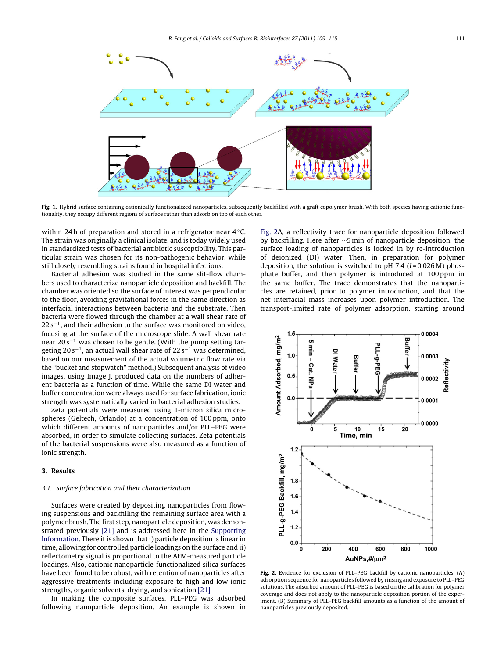<span id="page-2-0"></span>

Fig. 1. Hybrid surface containing cationically functionalized nanoparticles, subsequently backfilled with a graft copolymer brush. With both species having cationic functionality, they occupy different regions of surface rather than adsorb on top of each other.

within 24 h of preparation and stored in a refrigerator near 4 °C. The strain was originally a clinical isolate, and is today widely used in standardized tests of bacterial antibiotic susceptibility. This particular strain was chosen for its non-pathogenic behavior, while still closely resembling strains found in hospital infections.

Bacterial adhesion was studied in the same slit-flow chambers used to characterize nanoparticle deposition and backfill. The chamber was oriented so the surface of interest was perpendicular to the floor, avoiding gravitational forces in the same direction as interfacial interactions between bacteria and the substrate. Then bacteria were flowed through the chamber at a wall shear rate of  $22 s^{-1}$ , and their adhesion to the surface was monitored on video, focusing at the surface of the microscope slide. A wall shear rate near  $20 s^{-1}$  was chosen to be gentle. (With the pump setting targeting 20 s<sup>-1</sup>, an actual wall shear rate of 22 s<sup>-1</sup> was determined, based on our measurement of the actual volumetric flow rate via the "bucket and stopwatch" method.) Subsequent analysis of video images, using Image J, produced data on the numbers of adherent bacteria as a function of time. While the same DI water and buffer concentration were always used for surface fabrication, ionic strength was systematically varied in bacterial adhesion studies.

Zeta potentials were measured using 1-micron silica microspheres (Geltech, Orlando) at a concentration of 100 ppm, onto which different amounts of nanoparticles and/or PLL–PEG were absorbed, in order to simulate collecting surfaces. Zeta potentials of the bacterial suspensions were also measured as a function of ionic strength.

## **3. Results**

## 3.1. Surface fabrication and their characterization

Surfaces were created by depositing nanoparticles from flowing suspensions and backfilling the remaining surface area with a polymer brush. The first step, nanoparticle deposition, was demonstrated previously [\[21\]](#page-6-0) and is addressed here in the [Supporting](#page-6-0) [Information.](#page-6-0) There it is shown that i) particle deposition is linear in time, allowing for controlled particle loadings on the surface and ii) reflectometry signal is proportional to the AFM-measured particle loadings. Also, cationic nanoparticle-functionalized silica surfaces have been found to be robust, with retention of nanoparticles after aggressive treatments including exposure to high and low ionic strengths, organic solvents, drying, and sonication[.\[21\]](#page-6-0)

In making the composite surfaces, PLL–PEG was adsorbed following nanoparticle deposition. An example is shown in Fig. 2A, a reflectivity trace for nanoparticle deposition followed by backfilling. Here after ∼5 min of nanoparticle deposition, the surface loading of nanoparticles is locked in by re-introduction of deionized (DI) water. Then, in preparation for polymer deposition, the solution is switched to pH 7.4 ( $I = 0.026$  M) phosphate buffer, and then polymer is introduced at 100 ppm in the same buffer. The trace demonstrates that the nanoparticles are retained, prior to polymer introduction, and that the net interfacial mass increases upon polymer introduction. The transport-limited rate of polymer adsorption, starting around



**Fig. 2.** Evidence for exclusion of PLL–PEG backfill by cationic nanoparticles. (A) adsorption sequence for nanoparticles followed by rinsing and exposure to PLL–PEG solutions. The adsorbed amount of PLL–PEG is based on the calibration for polymer coverage and does not apply to the nanoparticle deposition portion of the experiment. (B) Summary of PLL–PEG backfill amounts as a function of the amount of nanoparticles previously deposited.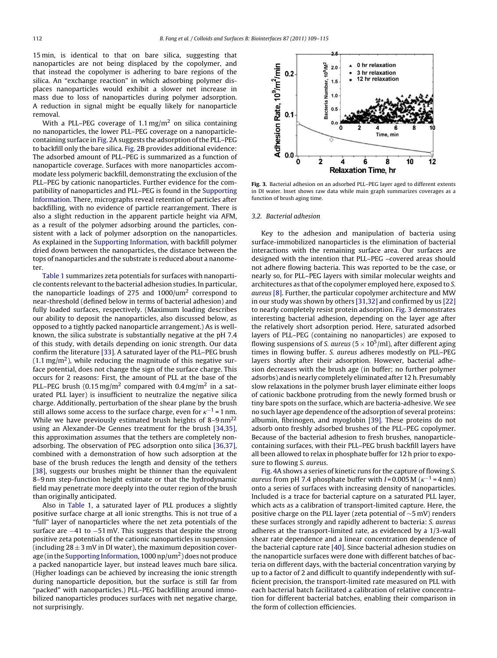15 min, is identical to that on bare silica, suggesting that nanoparticles are not being displaced by the copolymer, and that instead the copolymer is adhering to bare regions of the silica. An "exchange reaction" in which adsorbing polymer displaces nanoparticles would exhibit a slower net increase in mass due to loss of nanoparticles during polymer adsorption. A reduction in signal might be equally likely for nanoparticle removal.

With a PLL–PEG coverage of 1.1 mg/m<sup>2</sup> on silica containing no nanoparticles, the lower PLL–PEG coverage on a nanoparticle-containing surface in [Fig.](#page-2-0) 2A suggests the adsorption of the PLL-PEG to backfill only the bare silica. [Fig.](#page-2-0) 2B provides additional evidence: The adsorbed amount of PLL–PEG is summarized as a function of nanoparticle coverage. Surfaces with more nanoparticles accommodate less polymeric backfill, demonstrating the exclusion of the PLL–PEG by cationic nanoparticles. Further evidence for the compatibility of nanoparticles and PLL–PEG is found in the [Supporting](#page-6-0) [Information.](#page-6-0) There, micrographs reveal retention of particles after backfilling, with no evidence of particle rearrangement. There is also a slight reduction in the apparent particle height via AFM, as a result of the polymer adsorbing around the particles, consistent with a lack of polymer adsorption on the nanoparticles. As explained in the [Supporting](#page-6-0) [Information,](#page-6-0) with backfill polymer dried down between the nanoparticles, the distance between the tops of nanoparticles and the substrate is reduced about a nanometer.

[Table](#page-4-0) 1 summarizes zeta potentials for surfaces with nanoparticle contents relevant to the bacterial adhesion studies. In particular, the nanoparticle loadings of 275 and 1000/um2 correspond to near-threshold (defined below in terms of bacterial adhesion) and fully loaded surfaces, respectively. (Maximum loading describes our ability to deposit the nanoparticles, also discussed below, as opposed to a tightly packed nanoparticle arrangement.) As is wellknown, the silica substrate is substantially negative at the pH 7.4 of this study, with details depending on ionic strength. Our data confirm the literature [\[33\].](#page-6-0) A saturated layer of the PLL–PEG brush  $(1.1 \,\mathrm{mg/m^2})$ , while reducing the magnitude of this negative surface potential, does not change the sign of the surface charge. This occurs for 2 reasons: First, the amount of PLL at the base of the PLL–PEG brush (0.15 mg/m<sup>2</sup> compared with 0.4 mg/m<sup>2</sup> in a saturated PLL layer) is insufficient to neutralize the negative silica charge. Additionally, perturbation of the shear plane by the brush still allows some access to the surface charge, even for  $\kappa^{-1}$  = 1 nm. While we have previously estimated brush heights of  $8-9 \text{ nm}^{22}$ using an Alexander-De Gennes treatment for the brush [\[34,35\],](#page-6-0) this approximation assumes that the tethers are completely nonadsorbing. The observation of PEG adsorption onto silica [\[36,37\],](#page-6-0) combined with a demonstration of how such adsorption at the base of the brush reduces the length and density of the tethers [\[38\],](#page-6-0) suggests our brushes might be thinner than the equivalent 8–9 nm step-function height estimate or that the hydrodynamic field may penetrate more deeply into the outer region of the brush than originally anticipated.

Also in [Table](#page-4-0) 1, a saturated layer of PLL produces a slightly positive surface charge at all ionic strengths. This is not true of a "full" layer of nanoparticles where the net zeta potentials of the surface are −41 to −51 mV. This suggests that despite the strong positive zeta potentials of the cationic nanoparticles in suspension (including  $28 \pm 3$  mV in DI water), the maximum deposition cover-age (in the [Supporting](#page-6-0) [Information,](#page-6-0)  $1000$  np/um<sup>2</sup>) does not produce a packed nanoparticle layer, but instead leaves much bare silica. (Higher loadings can be achieved by increasing the ionic strength during nanoparticle deposition, but the surface is still far from "packed" with nanoparticles.) PLL–PEG backfilling around immobilized nanoparticles produces surfaces with net negative charge, not surprisingly.



**Fig. 3.** Bacterial adhesion on an adsorbed PLL–PEG layer aged to different extents in DI water. Inset shows raw data while main graph summarizes coverages as a function of brush aging time.

#### 3.2. Bacterial adhesion

Key to the adhesion and manipulation of bacteria using surface-immobilized nanoparticles is the elimination of bacterial interactions with the remaining surface area. Our surfaces are designed with the intention that PLL–PEG –covered areas should not adhere flowing bacteria. This was reported to be the case, or nearly so, for PLL–PEG layers with similar molecular weights and architectures as that of the copolymer employed here, exposed to S. aureus [\[8\].](#page-6-0) Further, the particular copolymer architecture and MW in our study was shown by others [\[31,32\]](#page-6-0) and confirmed by us [\[22\]](#page-6-0) to nearly completely resist protein adsorption. Fig. 3 demonstrates interesting bacterial adhesion, depending on the layer age after the relatively short adsorption period. Here, saturated adsorbed layers of PLL–PEG (containing no nanoparticles) are exposed to flowing suspensions of S. aureus ( $5 \times 10^5$ /ml), after different aging times in flowing buffer. S. aureus adheres modestly on PLL–PEG layers shortly after their adsorption. However, bacterial adhesion decreases with the brush age (in buffer; no further polymer adsorbs) and is nearly completely eliminated after 12 h. Presumably slow relaxations in the polymer brush layer eliminate either loops of cationic backbone protruding from the newly formed brush or tiny bare spots on the surface, which are bacteria-adhesive. We see no such layer age dependence of the adsorption of several proteins: albumin, fibrinogen, and myoglobin [\[39\].](#page-6-0) These proteins do not adsorb onto freshly adsorbed brushes of the PLL–PEG copolymer. Because of the bacterial adhesion to fresh brushes, nanoparticlecontaining surfaces, with their PLL–PEG brush backfill layers have all been allowed to relax in phosphate buffer for 12 h prior to exposure to flowing S. aureus.

[Fig.](#page-4-0) 4A shows a series of kinetic runs for the capture of flowing S. aureus from pH 7.4 phosphate buffer with  $I = 0.005$  M ( $\kappa^{-1} = 4$  nm) onto a series of surfaces with increasing density of nanoparticles. Included is a trace for bacterial capture on a saturated PLL layer, which acts as a calibration of transport-limited capture. Here, the positive charge on the PLL layer (zeta potential of ∼5 mV) renders these surfaces strongly and rapidly adherent to bacteria: S. aureus adheres at the transport-limited rate, as evidenced by a 1/3-wall shear rate dependence and a linear concentration dependence of the bacterial capture rate [\[40\].](#page-6-0) Since bacterial adhesion studies on the nanoparticle surfaces were done with different batches of bacteria on different days, with the bacterial concentration varying by up to a factor of 2 and difficult to quantify independently with sufficient precision, the transport-limited rate measured on PLL with each bacterial batch facilitated a calibration of relative concentration for different bacterial batches, enabling their comparison in the form of collection efficiencies.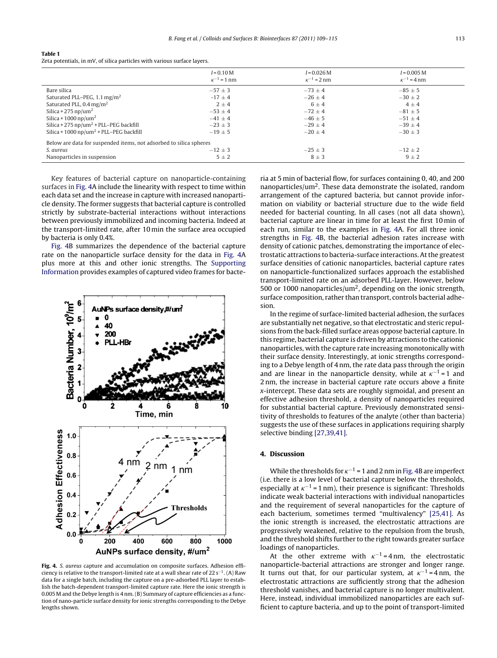#### <span id="page-4-0"></span>**Table 1**

Zeta potentials, in mV, of silica particles with various surface layers.

|                                                                    | $I = 0.10 M$<br>$\kappa^{-1}$ = 1 nm | $I = 0.026 M$<br>$\kappa^{-1} = 2$ nm | $I = 0.005 M$<br>$\kappa^{-1} = 4 \text{ nm}$ |
|--------------------------------------------------------------------|--------------------------------------|---------------------------------------|-----------------------------------------------|
| Bare silica                                                        | $-57 \pm 3$                          | $-73 \pm 4$                           | $-85 \pm 5$                                   |
| Saturated PLL-PEG, $1.1 \text{ mg/m}^2$                            | $-17 \pm 4$                          | $-26 \pm 4$                           | $-30 \pm 2$                                   |
| Saturated PLL, $0.4 \,\mathrm{mg/m^2}$                             | $2 \pm 4$                            | $6 \pm 4$                             | $4 \pm 4$                                     |
| Silica + 275 np/um <sup>2</sup>                                    | $-53 \pm 4$                          | $-72 + 4$                             | $-81 \pm 5$                                   |
| Silica + 1000 np/um <sup>2</sup>                                   | $-41 \pm 4$                          | $-46 \pm 5$                           | $-51 \pm 4$                                   |
| Silica + 275 $np/um^2$ + PLL–PEG backfill                          | $-23 \pm 3$                          | $-29 \pm 4$                           | $-39 + 4$                                     |
| Silica + 1000 np/um <sup>2</sup> + PLL-PEG backfill                | $-19 \pm 5$                          | $-20 \pm 4$                           | $-30 \pm 3$                                   |
| Below are data for suspended items, not adsorbed to silica spheres |                                      |                                       |                                               |
| S. aureus                                                          | $-12 \pm 3$                          | $-25 \pm 3$                           | $-12 \pm 2$                                   |
| Nanoparticles in suspension                                        | $5 \pm 2$                            | $8 \pm 3$                             | $9 \pm 2$                                     |

Key features of bacterial capture on nanoparticle-containing surfaces in Fig. 4A include the linearity with respect to time within each data set and the increase in capture with increased nanoparticle density. The former suggests that bacterial capture is controlled strictly by substrate-bacterial interactions without interactions between previously immobilized and incoming bacteria. Indeed at the transport-limited rate, after 10 min the surface area occupied by bacteria is only 0.4%.

Fig. 4B summarizes the dependence of the bacterial capture rate on the nanoparticle surface density for the data in Fig. 4A plus more at this and other ionic strengths. The [Supporting](#page-6-0) [Information](#page-6-0) provides examples of captured video frames for bacte-



**Fig. 4.** S. aureus capture and accumulation on composite surfaces. Adhesion efficiency is relative to the transport-limited rate at a wall shear rate of 22 s−1. (A) Raw data for a single batch, including the capture on a pre-adsorbed PLL layer to establish the batch-dependent transport-limited capture rate. Here the ionic strength is 0.005 M and the Debye length is 4 nm. (B) Summary of capture efficiencies as a function of nano-particle surface density for ionic strengths corresponding to the Debye lengths shown.

ria at 5 min of bacterial flow, for surfaces containing 0, 40, and 200 nanoparticles/um<sup>2</sup>. These data demonstrate the isolated, random arrangement of the captured bacteria, but cannot provide information on viability or bacterial structure due to the wide field needed for bacterial counting. In all cases (not all data shown), bacterial capture are linear in time for at least the first 10 min of each run, similar to the examples in Fig. 4A. For all three ionic strengths in Fig. 4B, the bacterial adhesion rates increase with density of cationic patches, demonstrating the importance of electrostatic attractions to bacteria-surface interactions. Atthe greatest surface densities of cationic nanoparticles, bacterial capture rates on nanoparticle-functionalized surfaces approach the established transport-limited rate on an adsorbed PLL-layer. However, below 500 or 1000 nanoparticles/ $um<sup>2</sup>$ , depending on the ionic strength, surface composition, rather than transport, controls bacterial adhesion.

In the regime of surface-limited bacterial adhesion, the surfaces are substantially net negative, so that electrostatic and steric repulsions from the back-filled surface areas oppose bacterial capture. In this regime, bacterial capture is driven by attractions to the cationic nanoparticles, with the capture rate increasing monotonically with their surface density. Interestingly, at ionic strengths corresponding to a Debye length of 4 nm, the rate data pass through the origin and are linear in the nanoparticle density, while at  $\kappa^{-1}$  = 1 and 2 nm, the increase in bacterial capture rate occurs above a finite x-intercept. These data sets are roughly sigmoidal, and present an effective adhesion threshold, a density of nanoparticles required for substantial bacterial capture. Previously demonstrated sensitivity of thresholds to features of the analyte (other than bacteria) suggests the use of these surfaces in applications requiring sharply selective binding [\[27,39,41\].](#page-6-0)

## **4. Discussion**

While the thresholds for  $\kappa^{-1}$  = 1 and 2 nm in Fig. 4B are imperfect (i.e. there is a low level of bacterial capture below the thresholds, especially at  $\kappa^{-1}$  = 1 nm), their presence is significant: Thresholds indicate weak bacterial interactions with individual nanoparticles and the requirement of several nanoparticles for the capture of each bacterium, sometimes termed "multivalency" [\[25,41\].](#page-6-0) As the ionic strength is increased, the electrostatic attractions are progressively weakened, relative to the repulsion from the brush, and the threshold shifts further to the right towards greater surface loadings of nanoparticles.

At the other extreme with  $\kappa^{-1} = 4 \text{ nm}$ , the electrostatic nanoparticle-bacterial attractions are stronger and longer range. It turns out that, for our particular system, at  $\kappa^{-1} = 4 \text{ nm}$ , the electrostatic attractions are sufficiently strong that the adhesion threshold vanishes, and bacterial capture is no longer multivalent. Here, instead, individual immobilized nanoparticles are each sufficient to capture bacteria, and up to the point of transport-limited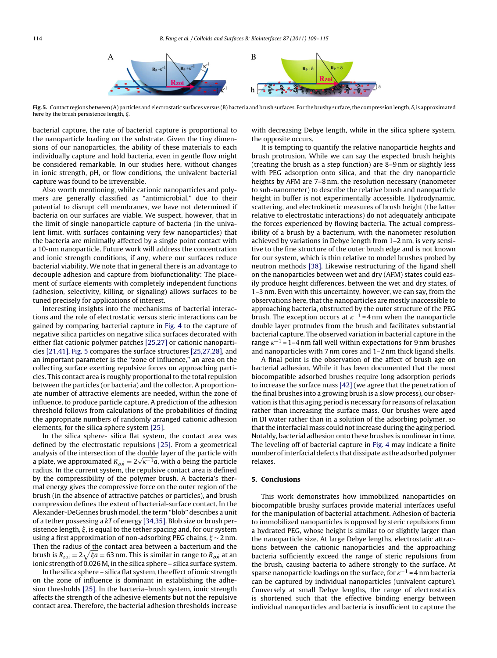

Fig. 5. Contact regions between (A) particles and electrostatic surfaces versus (B) bacteria and brush surfaces. For the brushy surface, the compression length,  $\delta$ , is approximated here by the brush persistence length,  $\xi$ .

bacterial capture, the rate of bacterial capture is proportional to the nanoparticle loading on the substrate. Given the tiny dimensions of our nanoparticles, the ability of these materials to each individually capture and hold bacteria, even in gentle flow might be considered remarkable. In our studies here, without changes in ionic strength, pH, or flow conditions, the univalent bacterial capture was found to be irreversible.

Also worth mentioning, while cationic nanoparticles and polymers are generally classified as "antimicrobial," due to their potential to disrupt cell membranes, we have not determined if bacteria on our surfaces are viable. We suspect, however, that in the limit of single nanoparticle capture of bacteria (in the univalent limit, with surfaces containing very few nanoparticles) that the bacteria are minimally affected by a single point contact with a 10-nm nanoparticle. Future work will address the concentration and ionic strength conditions, if any, where our surfaces reduce bacterial viability. We note that in general there is an advantage to decouple adhesion and capture from biofunctionality: The placement of surface elements with completely independent functions (adhesion, selectivity, killing, or signaling) allows surfaces to be tuned precisely for applications of interest.

Interesting insights into the mechanisms of bacterial interactions and the role of electrostatic versus steric interactions can be gained by comparing bacterial capture in [Fig.](#page-4-0) 4 to the capture of negative silica particles on negative silica surfaces decorated with either flat cationic polymer patches [\[25,27\]](#page-6-0) or cationic nanoparticles [\[21,41\].](#page-6-0) Fig. 5 compares the surface structures [\[25,27,28\],](#page-6-0) and an important parameter is the "zone of influence," an area on the collecting surface exerting repulsive forces on approaching particles. This contact area is roughly proportional to the total repulsion between the particles (or bacteria) and the collector. A proportionate number of attractive elements are needed, within the zone of influence, to produce particle capture. A prediction of the adhesion threshold follows from calculations of the probabilities of finding the appropriate numbers of randomly arranged cationic adhesion elements, for the silica sphere system [\[25\].](#page-6-0)

In the silica sphere- silica flat system, the contact area was defined by the electrostatic repulsions [\[25\].](#page-6-0) From a geometrical analysis of the intersection of the double layer of the particle with a plate, we approximated  $R_{\text{zoi}} = 2\sqrt{\kappa^{-1}a}$ , with a being the particle radius. In the current system, the repulsive contact area is defined by the compressibility of the polymer brush. A bacteria's thermal energy gives the compressive force on the outer region of the brush (in the absence of attractive patches or particles), and brush compression defines the extent of bacterial-surface contact. In the Alexander-DeGennes brush model, the term "blob" describes a unit of a tether possessing a  $kT$  of energy [\[34,35\].](#page-6-0) Blob size or brush persistence length,  $\xi$ , is equal to the tether spacing and, for our system using a first approximation of non-adsorbing PEG chains,  $\xi \sim 2$  nm. Then the radius of the contact area between a bacterium and the brush is  $R_\mathrm{zoi} = 2\sqrt{\xi a} = 63$  nm. This is similar in range to  $R_\mathrm{zoi}$  at an ionic strength of 0.026 M, in the silica sphere – silica surface system.

In the silica sphere - silica flat system, the effect of ionic strength on the zone of influence is dominant in establishing the adhesion thresholds [\[25\].](#page-6-0) In the bacteria–brush system, ionic strength affects the strength of the adhesive elements but not the repulsive contact area. Therefore, the bacterial adhesion thresholds increase with decreasing Debye length, while in the silica sphere system, the opposite occurs.

It is tempting to quantify the relative nanoparticle heights and brush protrusion. While we can say the expected brush heights (treating the brush as a step function) are 8–9 nm or slightly less with PEG adsorption onto silica, and that the dry nanoparticle heights by AFM are 7–8 nm, the resolution necessary (nanometer to sub-nanometer) to describe the relative brush and nanoparticle height in buffer is not experimentally accessible. Hydrodynamic, scattering, and electrokinetic measures of brush height (the latter relative to electrostatic interactions) do not adequately anticipate the forces experienced by flowing bacteria. The actual compressibility of a brush by a bacterium, with the nanometer resolution achieved by variations in Debye length from 1–2 nm, is very sensitive to the fine structure of the outer brush edge and is not known for our system, which is thin relative to model brushes probed by neutron methods [\[38\].](#page-6-0) Likewise restructuring of the ligand shell on the nanoparticles between wet and dry (AFM) states could easily produce height differences, between the wet and dry states, of 1–3 nm. Even with this uncertainty, however, we can say, from the observations here, that the nanoparticles are mostly inaccessible to approaching bacteria, obstructed by the outer structure of the PEG brush. The exception occurs at  $\kappa^{-1}$  = 4 nm when the nanoparticle double layer protrudes from the brush and facilitates substantial bacterial capture. The observed variation in bacterial capture in the range  $\kappa^{-1}$  = 1–4 nm fall well within expectations for 9 nm brushes and nanoparticles with 7 nm cores and 1–2 nm thick ligand shells.

A final point is the observation of the affect of brush age on bacterial adhesion. While it has been documented that the most biocompatible adsorbed brushes require long adsorption periods to increase the surface mass [\[42\]](#page-6-0) (we agree that the penetration of the final brushes into a growing brush is a slow process), our observation is that this aging period is necessary for reasons of relaxation rather than increasing the surface mass. Our brushes were aged in DI water rather than in a solution of the adsorbing polymer, so that the interfacial mass could not increase during the aging period. Notably, bacterial adhesion onto these brushes is nonlinear in time. The leveling off of bacterial capture in [Fig.](#page-4-0) 4 may indicate a finite number of interfacial defects that dissipate as the adsorbed polymer relaxes.

#### **5. Conclusions**

This work demonstrates how immobilized nanoparticles on biocompatible brushy surfaces provide material interfaces useful for the manipulation of bacterial attachment. Adhesion of bacteria to immobilized nanoparticles is opposed by steric repulsions from a hydrated PEG, whose height is similar to or slightly larger than the nanoparticle size. At large Debye lengths, electrostatic attractions between the cationic nanoparticles and the approaching bacteria sufficiently exceed the range of steric repulsions from the brush, causing bacteria to adhere strongly to the surface. At sparse nanoparticle loadings on the surface, for  $\kappa^{-1}$  = 4 nm bacteria can be captured by individual nanoparticles (univalent capture). Conversely at small Debye lengths, the range of electrostatics is shortened such that the effective binding energy between individual nanoparticles and bacteria is insufficient to capture the